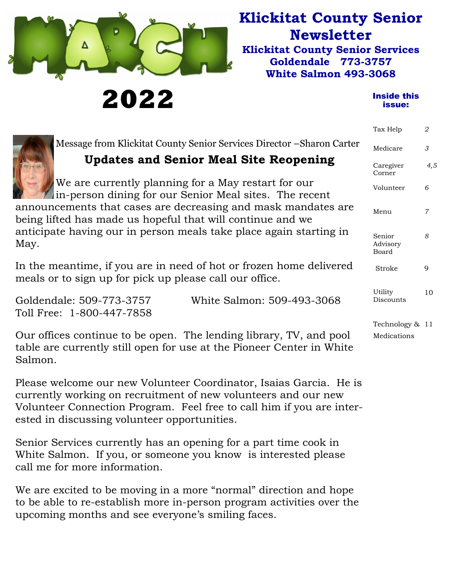

**2022** 

## **Klickitat County Senior Newsletter Klickitat County Senior Services Goldendale 773-3757**

**White Salmon 493-3068** 

#### Inside this issue:

|                                                                                                                                                        | Tax Help                    | $\overline{2}$ |
|--------------------------------------------------------------------------------------------------------------------------------------------------------|-----------------------------|----------------|
| Message from Klickitat County Senior Services Director – Sharon Carter                                                                                 | Medicare                    | 3              |
| <b>Updates and Senior Meal Site Reopening</b>                                                                                                          | Caregiver<br>Corner         | 4,5            |
| We are currently planning for a May restart for our<br>in-person dining for our Senior Meal sites. The recent                                          | Volunteer                   | 6              |
| announcements that cases are decreasing and mask mandates are<br>being lifted has made us hopeful that will continue and we                            | Menu                        | $\overline{7}$ |
| anticipate having our in person meals take place again starting in<br>May.                                                                             | Senior<br>Advisory<br>Board | 8              |
| In the meantime, if you are in need of hot or frozen home delivered<br>meals or to sign up for pick up please call our office.                         | Stroke                      | 9              |
| Goldendale: 509-773-3757<br>White Salmon: 509-493-3068<br>Toll Free: 1-800-447-7858                                                                    | Utility<br>Discounts        | 10             |
|                                                                                                                                                        | Technology & 11             |                |
| Our offices continue to be open. The lending library, TV, and pool<br>table are currently still open for use at the Pioneer Center in White<br>Salmon. | Medications                 |                |
| Please welcome our new Volunteer Coordinator, Isaias Garcia. He is                                                                                     |                             |                |

currently working on recruitment of new volunteers and our new Volunteer Connection Program. Feel free to call him if you are interested in discussing volunteer opportunities.

Senior Services currently has an opening for a part time cook in White Salmon. If you, or someone you know is interested please call me for more information.

We are excited to be moving in a more "normal" direction and hope to be able to re-establish more in-person program activities over the upcoming months and see everyone's smiling faces.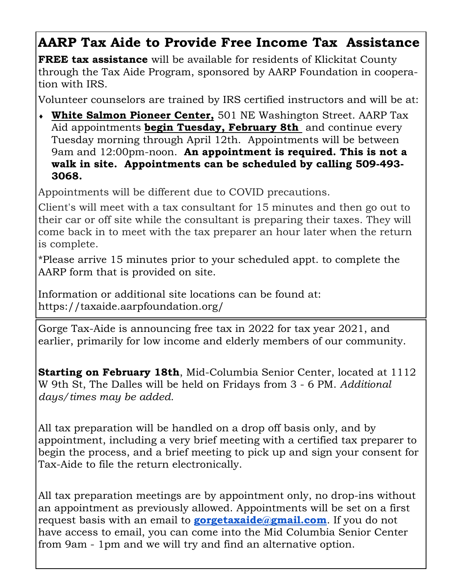## **AARP Tax Aide to Provide Free Income Tax Assistance**

**FREE tax assistance** will be available for residents of Klickitat County through the Tax Aide Program, sponsored by AARP Foundation in cooperation with IRS.

Volunteer counselors are trained by IRS certified instructors and will be at:

 **White Salmon Pioneer Center,** 501 NE Washington Street. AARP Tax Aid appointments **begin Tuesday, February 8th** and continue every Tuesday morning through April 12th. Appointments will be between 9am and 12:00pm-noon. **An appointment is required. This is not a walk in site. Appointments can be scheduled by calling 509-493- 3068.** 

Appointments will be different due to COVID precautions.

Client's will meet with a tax consultant for 15 minutes and then go out to their car or off site while the consultant is preparing their taxes. They will come back in to meet with the tax preparer an hour later when the return is complete.

\*Please arrive 15 minutes prior to your scheduled appt. to complete the AARP form that is provided on site.

Information or additional site locations can be found at: https://taxaide.aarpfoundation.org/

Gorge Tax-Aide is announcing free tax in 2022 for tax year 2021, and earlier, primarily for low income and elderly members of our community.

**Starting on February 18th**, Mid-Columbia Senior Center, located at 1112 W 9th St, The Dalles will be held on Fridays from 3 - 6 PM. *Additional days/times may be added.* 

All tax preparation will be handled on a drop off basis only, and by appointment, including a very brief meeting with a certified tax preparer to begin the process, and a brief meeting to pick up and sign your consent for Tax-Aide to file the return electronically.

All tax preparation meetings are by appointment only, no drop-ins without an appointment as previously allowed. Appointments will be set on a first request basis with an email to **gorgetaxaide@gmail.com**. If you do not have access to email, you can come into the Mid Columbia Senior Center from 9am - 1pm and we will try and find an alternative option.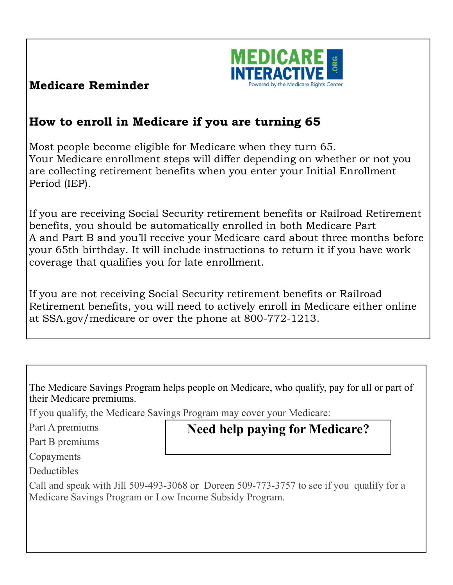

### **Medicare Reminder**

## **How to enroll in Medicare if you are turning 65**

Most people become eligible for Medicare when they turn 65. Your Medicare enrollment steps will differ depending on whether or not you are collecting retirement benefits when you enter your Initial Enrollment Period (IEP).

If you are receiving Social Security retirement benefits or Railroad Retirement benefits, you should be automatically enrolled in both Medicare Part A and Part B and you'll receive your Medicare card about three months before your 65th birthday. It will include instructions to return it if you have work coverage that qualifies you for late enrollment.

If you are not receiving Social Security retirement benefits or Railroad Retirement benefits, you will need to actively enroll in Medicare either online at SSA.gov/medicare or over the phone at 800-772-1213.

The Medicare Savings Program helps people on Medicare, who qualify, pay for all or part of their Medicare premiums.

**Need help paying for Medicare?** 

If you qualify, the Medicare Savings Program may cover your Medicare:

Part A premiums

Part B premiums

Copayments

**Deductibles** 

Call and speak with Jill 509-493-3068 or Doreen 509-773-3757 to see if you qualify for a Medicare Savings Program or Low Income Subsidy Program.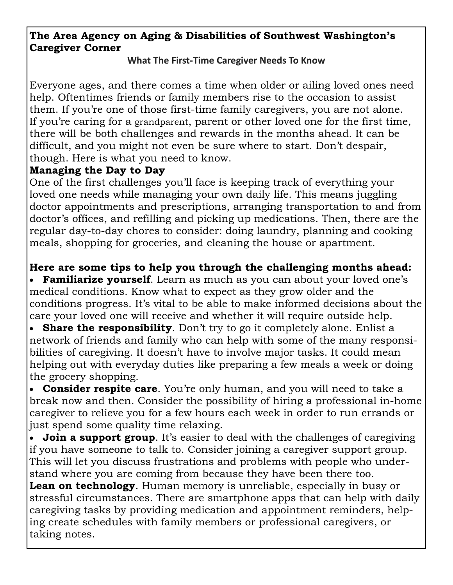#### **The Area Agency on Aging & Disabilities of Southwest Washington's Caregiver Corner**

#### **What The First‐Time Caregiver Needs To Know**

Everyone ages, and there comes a time when older or ailing loved ones need help. Oftentimes friends or family members rise to the occasion to assist them. If you're one of those first-time family caregivers, you are not alone. If you're caring for a grandparent, parent or other loved one for the first time, there will be both challenges and rewards in the months ahead. It can be difficult, and you might not even be sure where to start. Don't despair, though. Here is what you need to know.

#### **Managing the Day to Day**

One of the first challenges you'll face is keeping track of everything your loved one needs while managing your own daily life. This means juggling doctor appointments and prescriptions, arranging transportation to and from doctor's offices, and refilling and picking up medications. Then, there are the regular day-to-day chores to consider: doing laundry, planning and cooking meals, shopping for groceries, and cleaning the house or apartment.

#### **Here are some tips to help you through the challenging months ahead:**

 **Familiarize yourself**. Learn as much as you can about your loved one's medical conditions. Know what to expect as they grow older and the conditions progress. It's vital to be able to make informed decisions about the care your loved one will receive and whether it will require outside help.

**Share the responsibility**. Don't try to go it completely alone. Enlist a network of friends and family who can help with some of the many responsibilities of caregiving. It doesn't have to involve major tasks. It could mean helping out with everyday duties like preparing a few meals a week or doing the grocery shopping.

 **Consider respite care**. You're only human, and you will need to take a break now and then. Consider the possibility of hiring a professional in-home caregiver to relieve you for a few hours each week in order to run errands or just spend some quality time relaxing.

 **Join a support group**. It's easier to deal with the challenges of caregiving if you have someone to talk to. Consider joining a caregiver support group. This will let you discuss frustrations and problems with people who understand where you are coming from because they have been there too.

**Lean on technology**. Human memory is unreliable, especially in busy or stressful circumstances. There are smartphone apps that can help with daily caregiving tasks by providing medication and appointment reminders, helping create schedules with family members or professional caregivers, or taking notes.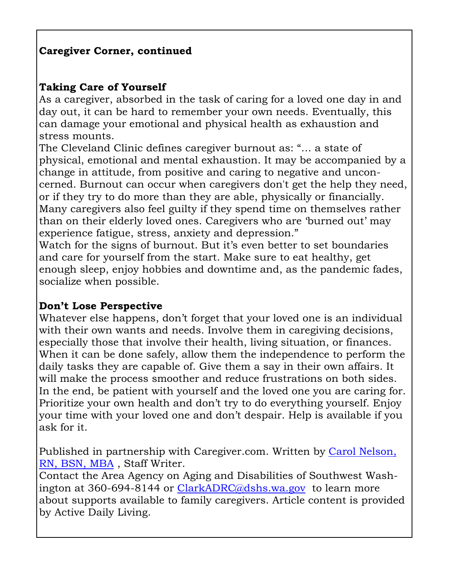#### **Caregiver Corner, continued**

#### **Taking Care of Yourself**

As a caregiver, absorbed in the task of caring for a loved one day in and day out, it can be hard to remember your own needs. Eventually, this can damage your emotional and physical health as exhaustion and stress mounts.

The Cleveland Clinic defines caregiver burnout as: "… a state of physical, emotional and mental exhaustion. It may be accompanied by a change in attitude, from positive and caring to negative and unconcerned. Burnout can occur when caregivers don't get the help they need, or if they try to do more than they are able, physically or financially. Many caregivers also feel guilty if they spend time on themselves rather than on their elderly loved ones. Caregivers who are 'burned out' may experience fatigue, stress, anxiety and depression."

Watch for the signs of burnout. But it's even better to set boundaries and care for yourself from the start. Make sure to eat healthy, get enough sleep, enjoy hobbies and downtime and, as the pandemic fades, socialize when possible.

#### **Don't Lose Perspective**

Whatever else happens, don't forget that your loved one is an individual with their own wants and needs. Involve them in caregiving decisions, especially those that involve their health, living situation, or finances. When it can be done safely, allow them the independence to perform the daily tasks they are capable of. Give them a say in their own affairs. It will make the process smoother and reduce frustrations on both sides. In the end, be patient with yourself and the loved one you are caring for. Prioritize your own health and don't try to do everything yourself. Enjoy your time with your loved one and don't despair. Help is available if you ask for it.

Published in partnership with Caregiver.com. Written by Carol Nelson, RN, BSN, MBA , Staff Writer.

Contact the Area Agency on Aging and Disabilities of Southwest Washington at 360-694-8144 or ClarkADRC@dshs.wa.gov to learn more about supports available to family caregivers. Article content is provided by Active Daily Living.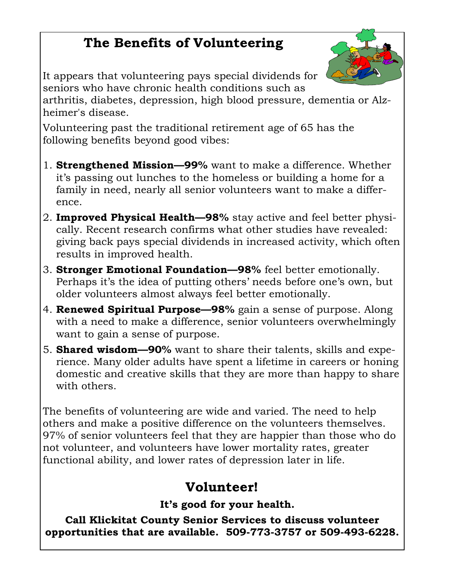# **The Benefits of Volunteering**



It appears that volunteering pays special dividends for seniors who have chronic health conditions such as arthritis, diabetes, depression, high blood pressure, dementia or Alzheimer's disease.

Volunteering past the traditional retirement age of 65 has the following benefits beyond good vibes:

- 1. **Strengthened Mission—99%** want to make a difference. Whether it's passing out lunches to the homeless or building a home for a family in need, nearly all senior volunteers want to make a difference.
- 2. **Improved Physical Health—98%** stay active and feel better physically. Recent research confirms what other studies have revealed: giving back pays special dividends in increased activity, which often results in improved health.
- 3. **Stronger Emotional Foundation—98%** feel better emotionally. Perhaps it's the idea of putting others' needs before one's own, but older volunteers almost always feel better emotionally.
- 4. **Renewed Spiritual Purpose—98%** gain a sense of purpose. Along with a need to make a difference, senior volunteers overwhelmingly want to gain a sense of purpose.
- 5. **Shared wisdom—90%** want to share their talents, skills and experience. Many older adults have spent a lifetime in careers or honing domestic and creative skills that they are more than happy to share with others.

The benefits of volunteering are wide and varied. The need to help others and make a positive difference on the volunteers themselves. 97% of senior volunteers feel that they are happier than those who do not volunteer, and volunteers have lower mortality rates, greater functional ability, and lower rates of depression later in life.

## **Volunteer!**

### **It's good for your health.**

**Call Klickitat County Senior Services to discuss volunteer opportunities that are available. 509-773-3757 or 509-493-6228.**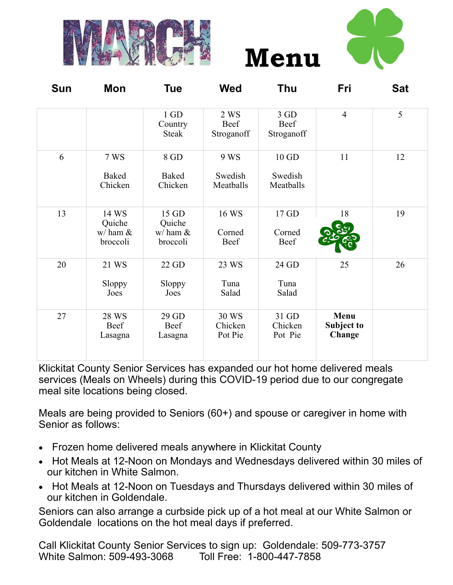



| Sun | Mon                                              | <b>Tue</b>                                   | <b>Wed</b>                   | <b>Thu</b>                    | Fri                          | <b>Sat</b> |
|-----|--------------------------------------------------|----------------------------------------------|------------------------------|-------------------------------|------------------------------|------------|
|     |                                                  | $1$ GD<br>Country<br><b>Steak</b>            | 2 WS<br>Beef<br>Stroganoff   | 3 GD<br>Beef<br>Stroganoff    | $\overline{4}$               | 5          |
| 6   | 7 WS<br><b>Baked</b><br>Chicken                  | 8 GD<br>Baked<br>Chicken                     | 9 WS<br>Swedish<br>Meatballs | 10 GD<br>Swedish<br>Meatballs | 11                           | 12         |
| 13  | 14 WS<br>Quiche<br>$w/\text{ham }\&$<br>broccoli | 15 GD<br>Quiche<br>$w/$ ham $\&$<br>broccoli | 16 WS<br>Corned<br>Beef      | 17 GD<br>Corned<br>Beef       | 18                           | 19         |
| 20  | 21 WS<br>Sloppy<br>Joes                          | 22 GD<br>Sloppy<br>Joes                      | 23 WS<br>Tuna<br>Salad       | 24 GD<br>Tuna<br>Salad        | 25                           | 26         |
| 27  | 28 WS<br>Beef<br>Lasagna                         | 29 GD<br>Beef<br>Lasagna                     | 30 WS<br>Chicken<br>Pot Pie  | 31 GD<br>Chicken<br>Pot Pie   | Menu<br>Subject to<br>Change |            |

**Menu** 

Klickitat County Senior Services has expanded our hot home delivered meals services (Meals on Wheels) during this COVID-19 period due to our congregate meal site locations being closed.

Meals are being provided to Seniors (60+) and spouse or caregiver in home with Senior as follows:

- Frozen home delivered meals anywhere in Klickitat County
- Hot Meals at 12-Noon on Mondays and Wednesdays delivered within 30 miles of our kitchen in White Salmon.
- Hot Meals at 12-Noon on Tuesdays and Thursdays delivered within 30 miles of our kitchen in Goldendale.

Seniors can also arrange a curbside pick up of a hot meal at our White Salmon or Goldendale locations on the hot meal days if preferred.

Call Klickitat County Senior Services to sign up: Goldendale: 509-773-3757 White Salmon: 509-493-3068 Toll Free: 1-800-447-7858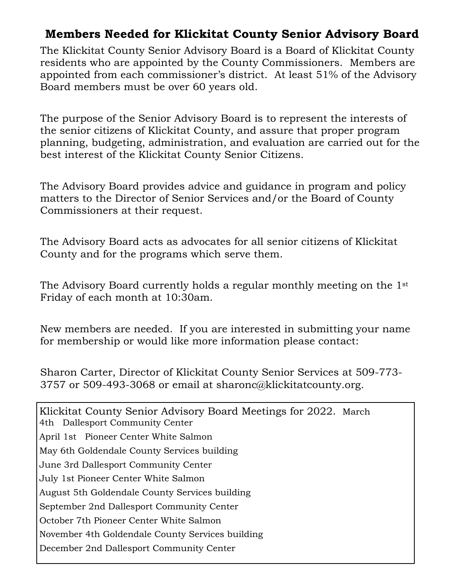### **Members Needed for Klickitat County Senior Advisory Board**

The Klickitat County Senior Advisory Board is a Board of Klickitat County residents who are appointed by the County Commissioners. Members are appointed from each commissioner's district. At least 51% of the Advisory Board members must be over 60 years old.

The purpose of the Senior Advisory Board is to represent the interests of the senior citizens of Klickitat County, and assure that proper program planning, budgeting, administration, and evaluation are carried out for the best interest of the Klickitat County Senior Citizens.

The Advisory Board provides advice and guidance in program and policy matters to the Director of Senior Services and/or the Board of County Commissioners at their request.

The Advisory Board acts as advocates for all senior citizens of Klickitat County and for the programs which serve them.

The Advisory Board currently holds a regular monthly meeting on the 1st Friday of each month at 10:30am.

New members are needed. If you are interested in submitting your name for membership or would like more information please contact:

Sharon Carter, Director of Klickitat County Senior Services at 509-773- 3757 or 509-493-3068 or email at sharonc@klickitatcounty.org.

Klickitat County Senior Advisory Board Meetings for 2022. March 4th Dallesport Community Center April 1st Pioneer Center White Salmon May 6th Goldendale County Services building June 3rd Dallesport Community Center July 1st Pioneer Center White Salmon August 5th Goldendale County Services building September 2nd Dallesport Community Center October 7th Pioneer Center White Salmon November 4th Goldendale County Services building December 2nd Dallesport Community Center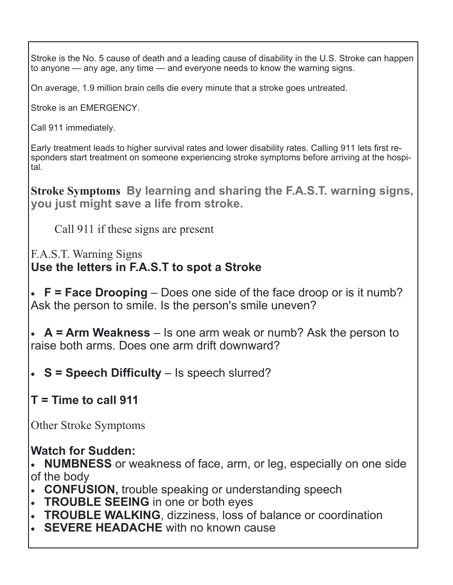Stroke is the No. 5 cause of death and a leading cause of disability in the U.S. Stroke can happen to anyone — any age, any time — and everyone needs to know the warning signs.

On average, 1.9 million brain cells die every minute that a stroke goes untreated.

Stroke is an EMERGENCY.

Call 911 immediately.

Early treatment leads to higher survival rates and lower disability rates. Calling 911 lets first responders start treatment on someone experiencing stroke symptoms before arriving at the hospital.

**Stroke Symptoms By learning and sharing the F.A.S.T. warning signs, you just might save a life from stroke.** 

Call 911 if these signs are present

F.A.S.T. Warning Signs **Use the letters in F.A.S.T to spot a Stroke** 

 **F = Face Drooping** – Does one side of the face droop or is it numb? Ask the person to smile. Is the person's smile uneven?

 **A = Arm Weakness** – Is one arm weak or numb? Ask the person to raise both arms. Does one arm drift downward?

**S = Speech Difficulty** – Is speech slurred?

## **T = Time to call 911**

Other Stroke Symptoms

### **Watch for Sudden:**

 **NUMBNESS** or weakness of face, arm, or leg, especially on one side of the body

- **CONFUSION,** trouble speaking or understanding speech
- **TROUBLE SEEING** in one or both eyes
- **TROUBLE WALKING**, dizziness, loss of balance or coordination
- **SEVERE HEADACHE** with no known cause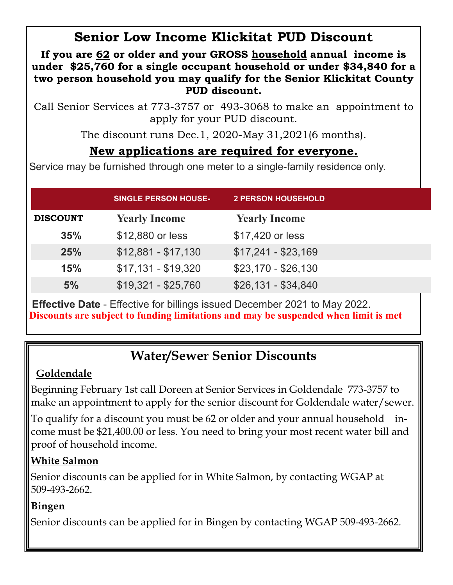## **Senior Low Income Klickitat PUD Discount**

**If you are 62 or older and your GROSS household annual income is under \$25,760 for a single occupant household or under \$34,840 for a two person household you may qualify for the Senior Klickitat County PUD discount.** 

Call Senior Services at 773-3757 or 493-3068 to make an appointment to apply for your PUD discount.

The discount runs Dec.1, 2020-May 31,2021(6 months).

### **New applications are required for everyone.**

Service may be furnished through one meter to a single-family residence only.

|                 | <b>SINGLE PERSON HOUSE-</b> | <b>2 PERSON HOUSEHOLD</b> |  |
|-----------------|-----------------------------|---------------------------|--|
| <b>DISCOUNT</b> | <b>Yearly Income</b>        | <b>Yearly Income</b>      |  |
| 35%             | \$12,880 or less            | \$17,420 or less          |  |
| 25%             | $$12,881 - $17,130$         | $$17,241 - $23,169$       |  |
| 15%             | $$17,131 - $19,320$         | $$23,170 - $26,130$       |  |
| 5%              | $$19,321 - $25,760$         | $$26,131 - $34,840$       |  |

 **Effective Date** - Effective for billings issued December 2021 to May 2022. **Discounts are subject to funding limitations and may be suspended when limit is met**

# **Water/Sewer Senior Discounts**

### **Goldendale**

Beginning February 1st call Doreen at Senior Services in Goldendale 773-3757 to make an appointment to apply for the senior discount for Goldendale water/sewer.

To qualify for a discount you must be 62 or older and your annual household income must be \$21,400.00 or less. You need to bring your most recent water bill and proof of household income.

### **White Salmon**

Senior discounts can be applied for in White Salmon, by contacting WGAP at 509-493-2662.

### **Bingen**

Senior discounts can be applied for in Bingen by contacting WGAP 509-493-2662.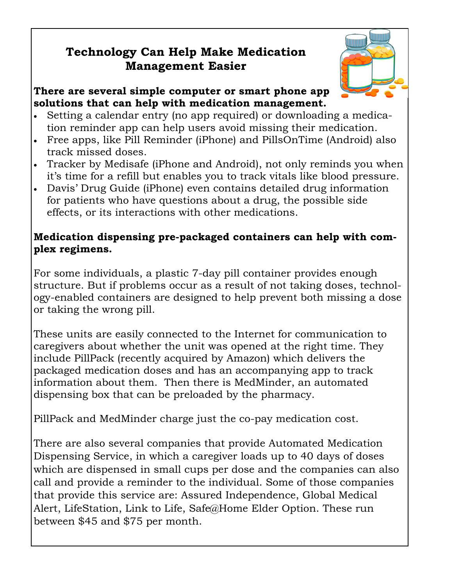### **Technology Can Help Make Medication Management Easier**



#### **There are several simple computer or smart phone app solutions that can help with medication management.**

- Setting a calendar entry (no app required) or downloading a medication reminder app can help users avoid missing their medication.
- Free apps, like Pill Reminder (iPhone) and PillsOnTime (Android) also track missed doses.
- Tracker by Medisafe (iPhone and Android), not only reminds you when it's time for a refill but enables you to track vitals like blood pressure.
- Davis' Drug Guide (iPhone) even contains detailed drug information for patients who have questions about a drug, the possible side effects, or its interactions with other medications.

#### **Medication dispensing pre-packaged containers can help with complex regimens.**

For some individuals, a plastic 7-day pill container provides enough structure. But if problems occur as a result of not taking doses, technology-enabled containers are designed to help prevent both missing a dose or taking the wrong pill.

These units are easily connected to the Internet for communication to caregivers about whether the unit was opened at the right time. They include PillPack (recently acquired by Amazon) which delivers the packaged medication doses and has an accompanying app to track information about them. Then there is MedMinder, an automated dispensing box that can be preloaded by the pharmacy.

PillPack and MedMinder charge just the co-pay medication cost.

There are also several companies that provide Automated Medication Dispensing Service, in which a caregiver loads up to 40 days of doses which are dispensed in small cups per dose and the companies can also call and provide a reminder to the individual. Some of those companies that provide this service are: Assured Independence, Global Medical Alert, LifeStation, Link to Life, Safe@Home Elder Option. These run between \$45 and \$75 per month.